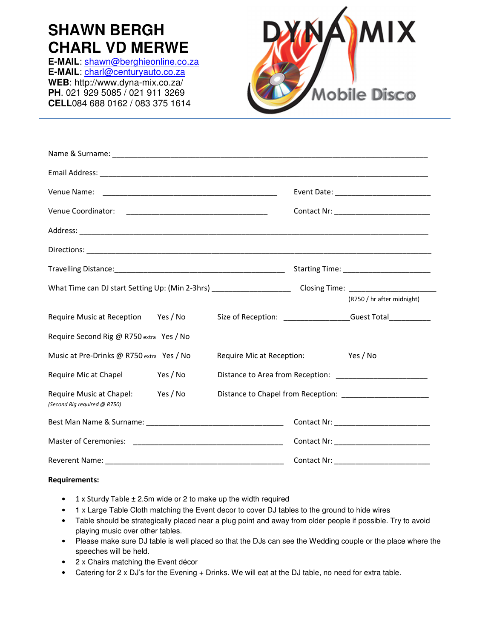## **SHAWN BERGH CHARL VD MERWE**

**E-MAIL**: shawn@berghieonline.co.za **E-MAIL**: charl@centuryauto.co.za **WEB**: http://www.dyna-mix.co.za/ **PH**. 021 929 5085 / 021 911 3269 **CELL**084 688 0162 / 083 375 1614



|                                                          |          |                           |                                          | Contact Nr: _____________________________                     |
|----------------------------------------------------------|----------|---------------------------|------------------------------------------|---------------------------------------------------------------|
|                                                          |          |                           |                                          |                                                               |
|                                                          |          |                           |                                          |                                                               |
|                                                          |          |                           | Starting Time: _________________________ |                                                               |
|                                                          |          |                           |                                          |                                                               |
|                                                          |          |                           |                                          | (R750 / hr after midnight)                                    |
| Require Music at Reception Yes / No                      |          |                           |                                          | Size of Reception: ___________________Guest Total____________ |
| Require Second Rig @ R750 extra Yes / No                 |          |                           |                                          |                                                               |
| Music at Pre-Drinks @ R750 extra Yes / No                |          | Require Mic at Reception: |                                          | Yes / No                                                      |
| Require Mic at Chapel                                    | Yes / No |                           |                                          |                                                               |
| Require Music at Chapel:<br>(Second Rig required @ R750) | Yes / No |                           |                                          |                                                               |
|                                                          |          |                           |                                          |                                                               |
|                                                          |          |                           |                                          |                                                               |
|                                                          |          |                           |                                          | Contact Nr: ____________________________                      |

## **Requirements:**

- $1 \times$  Sturdy Table  $\pm$  2.5m wide or 2 to make up the width required
- 1 x Large Table Cloth matching the Event decor to cover DJ tables to the ground to hide wires
- Table should be strategically placed near a plug point and away from older people if possible. Try to avoid playing music over other tables.
- Please make sure DJ table is well placed so that the DJs can see the Wedding couple or the place where the speeches will be held.
- 2 x Chairs matching the Event décor
- Catering for 2 x DJ's for the Evening + Drinks. We will eat at the DJ table, no need for extra table.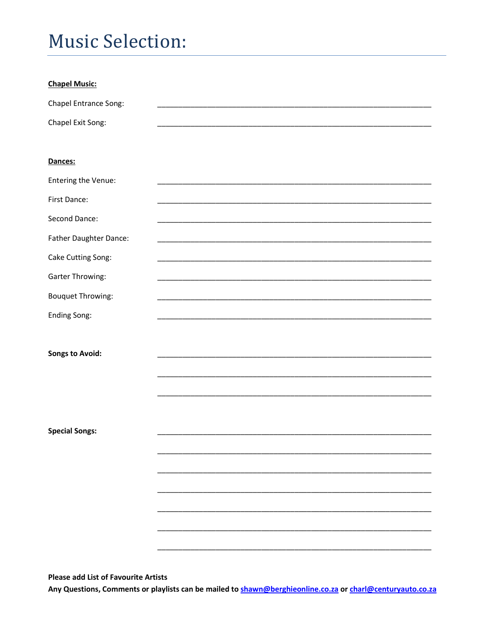## **Music Selection:**

| <b>Chapel Music:</b>     |  |
|--------------------------|--|
| Chapel Entrance Song:    |  |
| Chapel Exit Song:        |  |
|                          |  |
| Dances:                  |  |
| Entering the Venue:      |  |
| First Dance:             |  |
| Second Dance:            |  |
| Father Daughter Dance:   |  |
| Cake Cutting Song:       |  |
| <b>Garter Throwing:</b>  |  |
| <b>Bouquet Throwing:</b> |  |
| <b>Ending Song:</b>      |  |
|                          |  |
| <b>Songs to Avoid:</b>   |  |
|                          |  |
|                          |  |
|                          |  |
|                          |  |
| <b>Special Songs:</b>    |  |
|                          |  |
|                          |  |
|                          |  |
|                          |  |
|                          |  |
|                          |  |

**Please add List of Favourite Artists** 

Any Questions, Comments or playlists can be mailed to shawn@berghieonline.co.za or charl@centuryauto.co.za